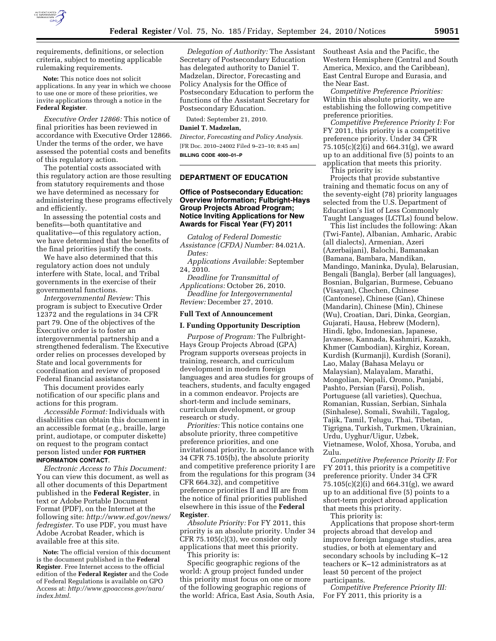

requirements, definitions, or selection criteria, subject to meeting applicable rulemaking requirements.

**Note:** This notice does not solicit applications. In any year in which we choose to use one or more of these priorities, we invite applications through a notice in the **Federal Register**.

*Executive Order 12866:* This notice of final priorities has been reviewed in accordance with Executive Order 12866. Under the terms of the order, we have assessed the potential costs and benefits of this regulatory action.

The potential costs associated with this regulatory action are those resulting from statutory requirements and those we have determined as necessary for administering these programs effectively and efficiently.

In assessing the potential costs and benefits—both quantitative and qualitative—of this regulatory action, we have determined that the benefits of the final priorities justify the costs.

We have also determined that this regulatory action does not unduly interfere with State, local, and Tribal governments in the exercise of their governmental functions.

*Intergovernmental Review:* This program is subject to Executive Order 12372 and the regulations in 34 CFR part 79. One of the objectives of the Executive order is to foster an intergovernmental partnership and a strengthened federalism. The Executive order relies on processes developed by State and local governments for coordination and review of proposed Federal financial assistance.

This document provides early notification of our specific plans and actions for this program.

*Accessible Format:* Individuals with disabilities can obtain this document in an accessible format (*e.g.,* braille, large print, audiotape, or computer diskette) on request to the program contact person listed under **FOR FURTHER INFORMATION CONTACT**.

*Electronic Access to This Document:*  You can view this document, as well as all other documents of this Department published in the **Federal Register**, in text or Adobe Portable Document Format (PDF), on the Internet at the following site: *[http://www.ed.gov/news/](http://www.ed.gov/news/fedregister) [fedregister.](http://www.ed.gov/news/fedregister)* To use PDF, you must have Adobe Acrobat Reader, which is available free at this site.

**Note:** The official version of this document is the document published in the **Federal Register**. Free Internet access to the official edition of the **Federal Register** and the Code of Federal Regulations is available on GPO Access at: *[http://www.gpoaccess.gov/nara/](http://www.gpoaccess.gov/nara/index.html) [index.html.](http://www.gpoaccess.gov/nara/index.html)* 

*Delegation of Authority:* The Assistant Secretary of Postsecondary Education has delegated authority to Daniel T. Madzelan, Director, Forecasting and Policy Analysis for the Office of Postsecondary Education to perform the functions of the Assistant Secretary for Postsecondary Education.

Dated: September 21, 2010.

## **Daniel T. Madzelan,**

*Director, Forecasting and Policy Analysis.*  [FR Doc. 2010–24002 Filed 9–23–10; 8:45 am] **BILLING CODE 4000–01–P** 

# **DEPARTMENT OF EDUCATION**

## **Office of Postsecondary Education: Overview Information; Fulbright-Hays Group Projects Abroad Program; Notice Inviting Applications for New Awards for Fiscal Year (FY) 2011**

*Catalog of Federal Domestic Assistance (CFDA) Number:* 84.021A. *Dates:* 

*Applications Available:* September 24, 2010.

*Deadline for Transmittal of Applications:* October 26, 2010. *Deadline for Intergovernmental Review:* December 27, 2010.

#### **Full Text of Announcement**

#### **I. Funding Opportunity Description**

*Purpose of Program:* The Fulbright-Hays Group Projects Abroad (GPA) Program supports overseas projects in training, research, and curriculum development in modern foreign languages and area studies for groups of teachers, students, and faculty engaged in a common endeavor. Projects are short-term and include seminars, curriculum development, or group research or study.

*Priorities:* This notice contains one absolute priority, three competitive preference priorities, and one invitational priority. In accordance with 34 CFR 75.105(b), the absolute priority and competitive preference priority I are from the regulations for this program (34 CFR 664.32), and competitive preference priorities II and III are from the notice of final priorities published elsewhere in this issue of the **Federal Register**.

*Absolute Priority:* For FY 2011, this priority is an absolute priority. Under 34 CFR 75.105(c)(3), we consider only applications that meet this priority. This priority is:

Specific geographic regions of the world: A group project funded under this priority must focus on one or more of the following geographic regions of the world: Africa, East Asia, South Asia, Southeast Asia and the Pacific, the Western Hemisphere (Central and South America, Mexico, and the Caribbean), East Central Europe and Eurasia, and the Near East.

*Competitive Preference Priorities:*  Within this absolute priority, we are establishing the following competitive preference priorities.

*Competitive Preference Priority I:* For FY 2011, this priority is a competitive preference priority. Under 34 CFR 75.105(c)(2)(i) and 664.31(g), we award up to an additional five (5) points to an application that meets this priority. This priority is:

Projects that provide substantive training and thematic focus on any of the seventy-eight (78) priority languages selected from the U.S. Department of Education's list of Less Commonly Taught Languages (LCTLs) found below.

This list includes the following: Akan (Twi-Fante), Albanian, Amharic, Arabic (all dialects), Armenian, Azeri (Azerbaijani), Balochi, Bamanakan (Bamana, Bambara, Mandikan, Mandingo, Maninka, Dyula), Belarusian, Bengali (Bangla), Berber (all languages), Bosnian, Bulgarian, Burmese, Cebuano (Visayan), Chechen, Chinese (Cantonese), Chinese (Gan), Chinese (Mandarin), Chinese (Min), Chinese (Wu), Croatian, Dari, Dinka, Georgian, Gujarati, Hausa, Hebrew (Modern), Hindi, Igbo, Indonesian, Japanese, Javanese, Kannada, Kashmiri, Kazakh, Khmer (Cambodian), Kirghiz, Korean, Kurdish (Kurmanji), Kurdish (Sorani), Lao, Malay (Bahasa Melayu or Malaysian), Malayalam, Marathi, Mongolian, Nepali, Oromo, Panjabi, Pashto, Persian (Farsi), Polish, Portuguese (all varieties), Quechua, Romanian, Russian, Serbian, Sinhala (Sinhalese), Somali, Swahili, Tagalog, Tajik, Tamil, Telugu, Thai, Tibetan, Tigrigna, Turkish, Turkmen, Ukrainian, Urdu, Uyghur/Uigur, Uzbek, Vietnamese, Wolof, Xhosa, Yoruba, and Zulu.

*Competitive Preference Priority II:* For FY 2011, this priority is a competitive preference priority. Under 34 CFR 75.105(c)(2)(i) and 664.31(g), we award up to an additional five (5) points to a short-term project abroad application that meets this priority.

This priority is:

Applications that propose short-term projects abroad that develop and improve foreign language studies, area studies, or both at elementary and secondary schools by including K–12 teachers or K–12 administrators as at least 50 percent of the project participants.

*Competitive Preference Priority III:*  For FY 2011, this priority is a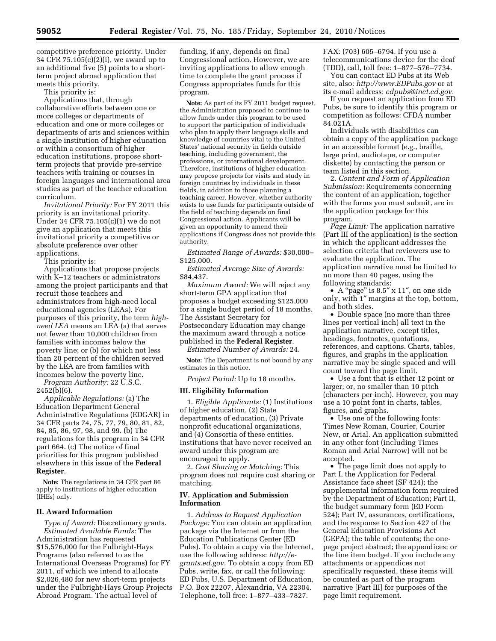competitive preference priority. Under 34 CFR 75.105(c)(2)(i), we award up to an additional five (5) points to a shortterm project abroad application that meets this priority.

This priority is:

Applications that, through collaborative efforts between one or more colleges or departments of education and one or more colleges or departments of arts and sciences within a single institution of higher education or within a consortium of higher education institutions, propose shortterm projects that provide pre-service teachers with training or courses in foreign languages and international area studies as part of the teacher education curriculum.

*Invitational Priority:* For FY 2011 this priority is an invitational priority. Under 34 CFR 75.105(c)(1) we do not give an application that meets this invitational priority a competitive or absolute preference over other applications.

This priority is:

Applications that propose projects with K–12 teachers or administrators among the project participants and that recruit those teachers and administrators from high-need local educational agencies (LEAs). For purposes of this priority, the term *highneed LEA* means an LEA (a) that serves not fewer than 10,000 children from families with incomes below the poverty line; or (b) for which not less than 20 percent of the children served by the LEA are from families with incomes below the poverty line.

*Program Authority: 22 U.S.C.*  $2452(b)(6)$ .

*Applicable Regulations:* (a) The Education Department General Administrative Regulations (EDGAR) in 34 CFR parts 74, 75, 77, 79, 80, 81, 82, 84, 85, 86, 97, 98, and 99. (b) The regulations for this program in 34 CFR part 664. (c) The notice of final priorities for this program published elsewhere in this issue of the **Federal Register**.

**Note:** The regulations in 34 CFR part 86 apply to institutions of higher education (IHEs) only.

#### **II. Award Information**

*Type of Award:* Discretionary grants. *Estimated Available Funds:* The Administration has requested \$15,576,000 for the Fulbright-Hays Programs (also referred to as the International Overseas Programs) for FY 2011, of which we intend to allocate \$2,026,480 for new short-term projects under the Fulbright-Hays Group Projects Abroad Program. The actual level of

funding, if any, depends on final Congressional action. However, we are inviting applications to allow enough time to complete the grant process if Congress appropriates funds for this program.

**Note:** As part of its FY 2011 budget request, the Administration proposed to continue to allow funds under this program to be used to support the participation of individuals who plan to apply their language skills and knowledge of countries vital to the United States' national security in fields outside teaching, including government, the professions, or international development. Therefore, institutions of higher education may propose projects for visits and study in foreign countries by individuals in these fields, in addition to those planning a teaching career. However, whether authority exists to use funds for participants outside of the field of teaching depends on final Congressional action. Applicants will be given an opportunity to amend their applications if Congress does not provide this authority.

*Estimated Range of Awards:* \$30,000– \$125,000.

*Estimated Average Size of Awards:*  \$84,437.

*Maximum Award:* We will reject any short-term GPA application that proposes a budget exceeding \$125,000 for a single budget period of 18 months. The Assistant Secretary for Postsecondary Education may change the maximum award through a notice published in the **Federal Register**.

*Estimated Number of Awards:* 24.

**Note:** The Department is not bound by any estimates in this notice.

*Project Period:* Up to 18 months.

# **III. Eligibility Information**

1. *Eligible Applicants:* (1) Institutions of higher education, (2) State departments of education, (3) Private nonprofit educational organizations, and (4) Consortia of these entities. Institutions that have never received an award under this program are encouraged to apply.

2. *Cost Sharing or Matching:* This program does not require cost sharing or matching.

### **IV. Application and Submission Information**

1. *Address to Request Application Package:* You can obtain an application package via the Internet or from the Education Publications Center (ED Pubs). To obtain a copy via the Internet, use the following address: *[http://e](http://e-grants.ed.gov)[grants.ed.gov.](http://e-grants.ed.gov)* To obtain a copy from ED Pubs, write, fax, or call the following: ED Pubs, U.S. Department of Education, P.O. Box 22207, Alexandria, VA 22304. Telephone, toll free: 1–877–433–7827.

FAX: (703) 605–6794. If you use a telecommunications device for the deaf (TDD), call, toll free: 1–877–576–7734.

You can contact ED Pubs at its Web site, also: *<http://www.EDPubs.gov>* or at its e-mail address: *[edpubs@inet.ed.gov.](mailto:edpubs@inet.ed.gov)* 

If you request an application from ED Pubs, be sure to identify this program or competition as follows: CFDA number 84.021A.

Individuals with disabilities can obtain a copy of the application package in an accessible format (e.g., braille, large print, audiotape, or computer diskette) by contacting the person or team listed in this section.

2. *Content and Form of Application Submission:* Requirements concerning the content of an application, together with the forms you must submit, are in the application package for this program.

*Page Limit:* The application narrative (Part III of the application) is the section in which the applicant addresses the selection criteria that reviewers use to evaluate the application. The application narrative must be limited to no more than 40 pages, using the following standards:

• A "page" is 8.5" x 11", on one side only, with 1″ margins at the top, bottom, and both sides.

• Double space (no more than three lines per vertical inch) all text in the application narrative, except titles, headings, footnotes, quotations, references, and captions. Charts, tables, figures, and graphs in the application narrative may be single spaced and will count toward the page limit.

• Use a font that is either 12 point or larger; or, no smaller than 10 pitch (characters per inch). However, you may use a 10 point font in charts, tables, figures, and graphs.

• Use one of the following fonts: Times New Roman, Courier, Courier New, or Arial. An application submitted in any other font (including Times Roman and Arial Narrow) will not be accepted.

• The page limit does not apply to Part I, the Application for Federal Assistance face sheet (SF 424); the supplemental information form required by the Department of Education; Part II, the budget summary form (ED Form 524); Part IV, assurances, certifications, and the response to Section 427 of the General Education Provisions Act (GEPA); the table of contents; the onepage project abstract; the appendices; or the line item budget. If you include any attachments or appendices not specifically requested, these items will be counted as part of the program narrative [Part III] for purposes of the page limit requirement.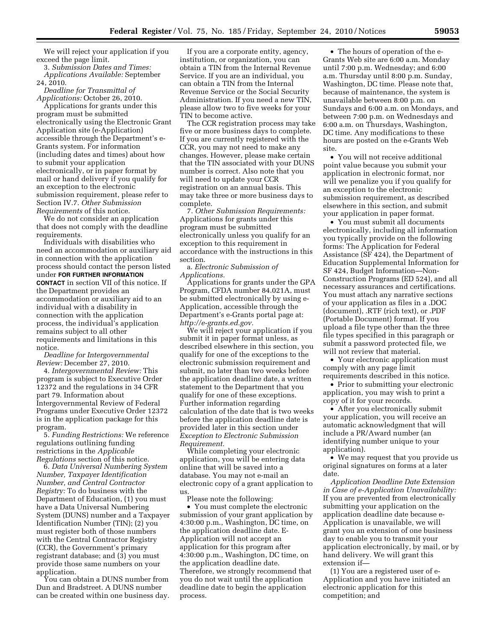We will reject your application if you exceed the page limit.

3. *Submission Dates and Times: Applications Available:* September 24, 2010.

*Deadline for Transmittal of Applications:* October 26, 2010.

Applications for grants under this program must be submitted electronically using the Electronic Grant Application site (e-Application) accessible through the Department's e-Grants system. For information (including dates and times) about how to submit your application electronically, or in paper format by mail or hand delivery if you qualify for an exception to the electronic submission requirement, please refer to Section IV.7. *Other Submission Requirements* of this notice.

We do not consider an application that does not comply with the deadline requirements.

Individuals with disabilities who need an accommodation or auxiliary aid in connection with the application process should contact the person listed under **FOR FURTHER INFORMATION CONTACT** in section VII of this notice. If the Department provides an accommodation or auxiliary aid to an individual with a disability in connection with the application process, the individual's application remains subject to all other requirements and limitations in this notice.

*Deadline for Intergovernmental Review:* December 27, 2010.

4. *Intergovernmental Review:* This program is subject to Executive Order 12372 and the regulations in 34 CFR part 79. Information about Intergovernmental Review of Federal Programs under Executive Order 12372 is in the application package for this program.

5. *Funding Restrictions:* We reference regulations outlining funding restrictions in the *Applicable Regulations* section of this notice.

6. *Data Universal Numbering System Number, Taxpayer Identification Number, and Central Contractor Registry:* To do business with the Department of Education, (1) you must have a Data Universal Numbering System (DUNS) number and a Taxpayer Identification Number (TIN); (2) you must register both of those numbers with the Central Contractor Registry (CCR), the Government's primary registrant database; and (3) you must provide those same numbers on your application.

You can obtain a DUNS number from Dun and Bradstreet. A DUNS number can be created within one business day.

If you are a corporate entity, agency, institution, or organization, you can obtain a TIN from the Internal Revenue Service. If you are an individual, you can obtain a TIN from the Internal Revenue Service or the Social Security Administration. If you need a new TIN, please allow two to five weeks for your TIN to become active.

The CCR registration process may take five or more business days to complete. If you are currently registered with the CCR, you may not need to make any changes. However, please make certain that the TIN associated with your DUNS number is correct. Also note that you will need to update your CCR registration on an annual basis. This may take three or more business days to complete.

7. *Other Submission Requirements:*  Applications for grants under this program must be submitted electronically unless you qualify for an exception to this requirement in accordance with the instructions in this section.

a. *Electronic Submission of Applications.* 

Applications for grants under the GPA Program, CFDA number 84.021A, must be submitted electronically by using e-Application, accessible through the Department's e-Grants portal page at: *[http://e-grants.ed.gov.](http://e-grants.ed.gov)* 

We will reject your application if you submit it in paper format unless, as described elsewhere in this section, you qualify for one of the exceptions to the electronic submission requirement and submit, no later than two weeks before the application deadline date, a written statement to the Department that you qualify for one of these exceptions. Further information regarding calculation of the date that is two weeks before the application deadline date is provided later in this section under *Exception to Electronic Submission Requirement.* 

While completing your electronic application, you will be entering data online that will be saved into a database. You may not e-mail an electronic copy of a grant application to us.

Please note the following: • You must complete the electronic submission of your grant application by 4:30:00 p.m., Washington, DC time, on the application deadline date. E-Application will not accept an application for this program after 4:30:00 p.m., Washington, DC time, on the application deadline date. Therefore, we strongly recommend that you do not wait until the application deadline date to begin the application process.

• The hours of operation of the e-Grants Web site are 6:00 a.m. Monday until 7:00 p.m. Wednesday; and 6:00 a.m. Thursday until 8:00 p.m. Sunday, Washington, DC time. Please note that, because of maintenance, the system is unavailable between 8:00 p.m. on Sundays and 6:00 a.m. on Mondays, and between 7:00 p.m. on Wednesdays and 6:00 a.m. on Thursdays, Washington, DC time. Any modifications to these hours are posted on the e-Grants Web site.

• You will not receive additional point value because you submit your application in electronic format, nor will we penalize you if you qualify for an exception to the electronic submission requirement, as described elsewhere in this section, and submit your application in paper format.

• You must submit all documents electronically, including all information you typically provide on the following forms: The Application for Federal Assistance (SF 424), the Department of Education Supplemental Information for SF 424, Budget Information—Non-Construction Programs (ED 524), and all necessary assurances and certifications. You must attach any narrative sections of your application as files in a .DOC (document), .RTF (rich text), or .PDF (Portable Document) format. If you upload a file type other than the three file types specified in this paragraph or submit a password protected file, we will not review that material.

• Your electronic application must comply with any page limit

requirements described in this notice. • Prior to submitting your electronic application, you may wish to print a

copy of it for your records.

• After you electronically submit your application, you will receive an automatic acknowledgment that will include a PR/Award number (an identifying number unique to your application).

• We may request that you provide us original signatures on forms at a later date.

*Application Deadline Date Extension in Case of e-Application Unavailability:*  If you are prevented from electronically submitting your application on the application deadline date because e-Application is unavailable, we will grant you an extension of one business day to enable you to transmit your application electronically, by mail, or by hand delivery. We will grant this extension if—

(1) You are a registered user of e-Application and you have initiated an electronic application for this competition; and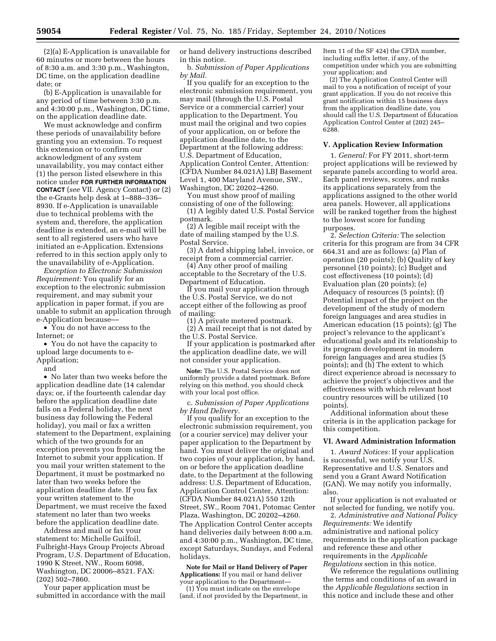(2)(a) E-Application is unavailable for 60 minutes or more between the hours of 8:30 a.m. and 3:30 p.m., Washington, DC time, on the application deadline date; or

(b) E-Application is unavailable for any period of time between 3:30 p.m. and 4:30:00 p.m., Washington, DC time, on the application deadline date.

We must acknowledge and confirm these periods of unavailability before granting you an extension. To request this extension or to confirm our acknowledgment of any system unavailability, you may contact either (1) the person listed elsewhere in this notice under **FOR FURTHER INFORMATION CONTACT** (*see* VII. Agency Contact) or (2) the e-Grants help desk at 1–888–336– 8930. If e-Application is unavailable due to technical problems with the system and, therefore, the application deadline is extended, an e-mail will be sent to all registered users who have initiated an e-Application. Extensions referred to in this section apply only to the unavailability of e-Application.

*Exception to Electronic Submission Requirement:* You qualify for an exception to the electronic submission requirement, and may submit your application in paper format, if you are unable to submit an application through e-Application because––

• You do not have access to the Internet; or

• You do not have the capacity to upload large documents to e-Application;

and

• No later than two weeks before the application deadline date (14 calendar days; or, if the fourteenth calendar day before the application deadline date falls on a Federal holiday, the next business day following the Federal holiday), you mail or fax a written statement to the Department, explaining which of the two grounds for an exception prevents you from using the Internet to submit your application. If you mail your written statement to the Department, it must be postmarked no later than two weeks before the application deadline date. If you fax your written statement to the Department, we must receive the faxed statement no later than two weeks before the application deadline date.

Address and mail or fax your statement to: Michelle Guilfoil, Fulbright-Hays Group Projects Abroad Program, U.S. Department of Education, 1990 K Street, NW., Room 6098, Washington, DC 20006–8521. FAX: (202) 502–7860.

Your paper application must be submitted in accordance with the mail or hand delivery instructions described in this notice.

b. *Submission of Paper Applications by Mail.* 

If you qualify for an exception to the electronic submission requirement, you may mail (through the U.S. Postal Service or a commercial carrier) your application to the Department. You must mail the original and two copies of your application, on or before the application deadline date, to the Department at the following address: U.S. Department of Education, Application Control Center, Attention: (CFDA Number 84.021A) LBJ Basement Level 1, 400 Maryland Avenue, SW., Washington, DC 20202–4260.

You must show proof of mailing consisting of one of the following:

(1) A legibly dated U.S. Postal Service postmark.

(2) A legible mail receipt with the date of mailing stamped by the U.S. Postal Service.

(3) A dated shipping label, invoice, or receipt from a commercial carrier.

(4) Any other proof of mailing acceptable to the Secretary of the U.S. Department of Education.

If you mail your application through the U.S. Postal Service, we do not accept either of the following as proof of mailing:

(1) A private metered postmark.

(2) A mail receipt that is not dated by the U.S. Postal Service.

If your application is postmarked after the application deadline date, we will not consider your application.

**Note:** The U.S. Postal Service does not uniformly provide a dated postmark. Before relying on this method, you should check with your local post office.

c. *Submission of Paper Applications by Hand Delivery.* 

If you qualify for an exception to the electronic submission requirement, you (or a courier service) may deliver your paper application to the Department by hand. You must deliver the original and two copies of your application, by hand, on or before the application deadline date, to the Department at the following address: U.S. Department of Education, Application Control Center, Attention: (CFDA Number 84.021A) 550 12th Street, SW., Room 7041, Potomac Center Plaza, Washington, DC 20202–4260. The Application Control Center accepts hand deliveries daily between 8:00 a.m. and 4:30:00 p.m., Washington, DC time, except Saturdays, Sundays, and Federal holidays.

**Note for Mail or Hand Delivery of Paper Applications:** If you mail or hand deliver your application to the Department— (1) You must indicate on the envelope

(and, if not provided by the Department, in

Item 11 of the SF 424) the CFDA number, including suffix letter, if any, of the competition under which you are submitting your application; and

(2) The Application Control Center will mail to you a notification of receipt of your grant application. If you do not receive this grant notification within 15 business days from the application deadline date, you should call the U.S. Department of Education Application Control Center at (202) 245– 6288.

### **V. Application Review Information**

1. *General:* For FY 2011, short-term project applications will be reviewed by separate panels according to world area. Each panel reviews, scores, and ranks its applications separately from the applications assigned to the other world area panels. However, all applications will be ranked together from the highest to the lowest score for funding purposes.

2. *Selection Criteria:* The selection criteria for this program are from 34 CFR 664.31 and are as follows: (a) Plan of operation (20 points); (b) Quality of key personnel (10 points); (c) Budget and cost effectiveness (10 points); (d) Evaluation plan (20 points); (e) Adequacy of resources (5 points); (f) Potential impact of the project on the development of the study of modern foreign languages and area studies in American education (15 points); (g) The project's relevance to the applicant's educational goals and its relationship to its program development in modern foreign languages and area studies (5 points); and (h) The extent to which direct experience abroad is necessary to achieve the project's objectives and the effectiveness with which relevant host country resources will be utilized (10 points).

Additional information about these criteria is in the application package for this competition.

#### **VI. Award Administration Information**

1. *Award Notices:* If your application is successful, we notify your U.S. Representative and U.S. Senators and send you a Grant Award Notification (GAN). We may notify you informally, also.

If your application is not evaluated or not selected for funding, we notify you.

2. *Administrative and National Policy Requirements:* We identify administrative and national policy requirements in the application package and reference these and other requirements in the *Applicable Regulations* section in this notice.

We reference the regulations outlining the terms and conditions of an award in the *Applicable Regulations* section in this notice and include these and other